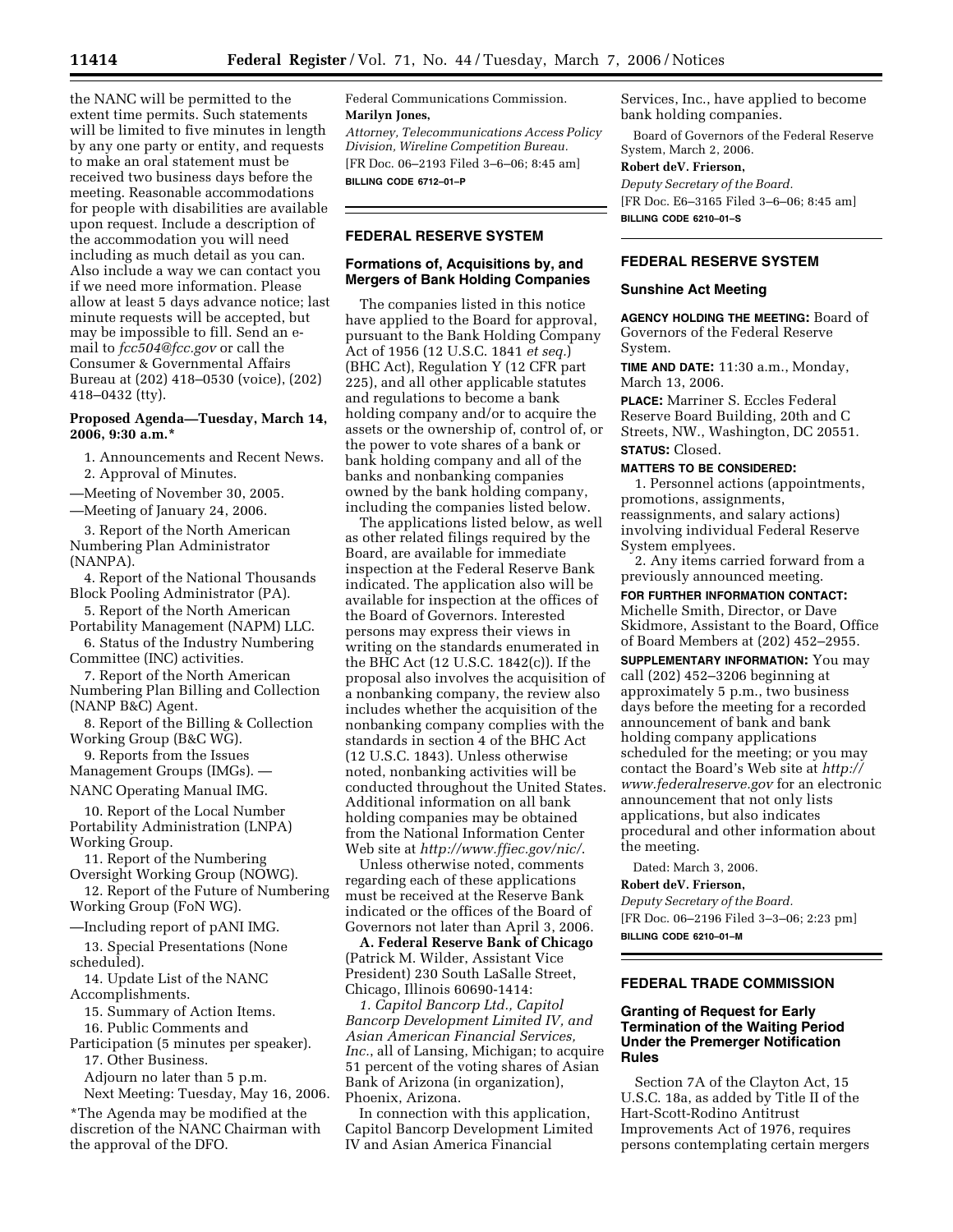the NANC will be permitted to the extent time permits. Such statements will be limited to five minutes in length by any one party or entity, and requests to make an oral statement must be received two business days before the meeting. Reasonable accommodations for people with disabilities are available upon request. Include a description of the accommodation you will need including as much detail as you can. Also include a way we can contact you if we need more information. Please allow at least 5 days advance notice; last minute requests will be accepted, but may be impossible to fill. Send an email to *fcc504@fcc.gov* or call the Consumer & Governmental Affairs Bureau at (202) 418–0530 (voice), (202) 418–0432 (tty).

## **Proposed Agenda—Tuesday, March 14, 2006, 9:30 a.m.\***

1. Announcements and Recent News.

2. Approval of Minutes.

—Meeting of November 30, 2005.

—Meeting of January 24, 2006.

3. Report of the North American Numbering Plan Administrator (NANPA).

4. Report of the National Thousands Block Pooling Administrator (PA).

5. Report of the North American Portability Management (NAPM) LLC.

6. Status of the Industry Numbering Committee (INC) activities.

7. Report of the North American Numbering Plan Billing and Collection (NANP B&C) Agent.

8. Report of the Billing & Collection Working Group (B&C WG).

9. Reports from the Issues Management Groups (IMGs). —

NANC Operating Manual IMG.

10. Report of the Local Number Portability Administration (LNPA) Working Group.

11. Report of the Numbering Oversight Working Group (NOWG).

12. Report of the Future of Numbering Working Group (FoN WG).

—Including report of pANI IMG.

13. Special Presentations (None scheduled).

14. Update List of the NANC Accomplishments.

15. Summary of Action Items.

16. Public Comments and

Participation (5 minutes per speaker). 17. Other Business.

Adjourn no later than 5 p.m.

Next Meeting: Tuesday, May 16, 2006.

\*The Agenda may be modified at the discretion of the NANC Chairman with the approval of the DFO.

Federal Communications Commission. **Marilyn Jones,** 

*Attorney, Telecommunications Access Policy Division, Wireline Competition Bureau.*  [FR Doc. 06–2193 Filed 3–6–06; 8:45 am] **BILLING CODE 6712–01–P** 

## **FEDERAL RESERVE SYSTEM**

### **Formations of, Acquisitions by, and Mergers of Bank Holding Companies**

The companies listed in this notice have applied to the Board for approval, pursuant to the Bank Holding Company Act of 1956 (12 U.S.C. 1841 *et seq.*) (BHC Act), Regulation Y (12 CFR part 225), and all other applicable statutes and regulations to become a bank holding company and/or to acquire the assets or the ownership of, control of, or the power to vote shares of a bank or bank holding company and all of the banks and nonbanking companies owned by the bank holding company, including the companies listed below.

The applications listed below, as well as other related filings required by the Board, are available for immediate inspection at the Federal Reserve Bank indicated. The application also will be available for inspection at the offices of the Board of Governors. Interested persons may express their views in writing on the standards enumerated in the BHC Act (12 U.S.C. 1842(c)). If the proposal also involves the acquisition of a nonbanking company, the review also includes whether the acquisition of the nonbanking company complies with the standards in section 4 of the BHC Act (12 U.S.C. 1843). Unless otherwise noted, nonbanking activities will be conducted throughout the United States. Additional information on all bank holding companies may be obtained from the National Information Center Web site at *http://www.ffiec.gov/nic/*.

Unless otherwise noted, comments regarding each of these applications must be received at the Reserve Bank indicated or the offices of the Board of Governors not later than April 3, 2006.

**A. Federal Reserve Bank of Chicago**  (Patrick M. Wilder, Assistant Vice President) 230 South LaSalle Street, Chicago, Illinois 60690-1414:

*1. Capitol Bancorp Ltd., Capitol Bancorp Development Limited IV, and Asian American Financial Services, Inc.*, all of Lansing, Michigan; to acquire 51 percent of the voting shares of Asian Bank of Arizona (in organization), Phoenix, Arizona.

In connection with this application, Capitol Bancorp Development Limited IV and Asian America Financial

Services, Inc., have applied to become bank holding companies.

Board of Governors of the Federal Reserve System, March 2, 2006.

#### **Robert deV. Frierson,**

*Deputy Secretary of the Board.*  [FR Doc. E6–3165 Filed 3–6–06; 8:45 am] **BILLING CODE 6210–01–S** 

### **FEDERAL RESERVE SYSTEM**

#### **Sunshine Act Meeting**

**AGENCY HOLDING THE MEETING:** Board of Governors of the Federal Reserve System.

**TIME AND DATE:** 11:30 a.m., Monday, March 13, 2006.

**PLACE:** Marriner S. Eccles Federal Reserve Board Building, 20th and C Streets, NW., Washington, DC 20551.

# **STATUS:** Closed.

## **MATTERS TO BE CONSIDERED:**

1. Personnel actions (appointments, promotions, assignments, reassignments, and salary actions) involving individual Federal Reserve System emplyees.

2. Any items carried forward from a previously announced meeting.

**FOR FURTHER INFORMATION CONTACT:**  Michelle Smith, Director, or Dave Skidmore, Assistant to the Board, Office of Board Members at (202) 452–2955.

**SUPPLEMENTARY INFORMATION:** You may call (202) 452–3206 beginning at approximately 5 p.m., two business days before the meeting for a recorded announcement of bank and bank holding company applications scheduled for the meeting; or you may contact the Board's Web site at *http:// www.federalreserve.gov* for an electronic announcement that not only lists applications, but also indicates procedural and other information about the meeting.

Dated: March 3, 2006.

#### **Robert deV. Frierson,**

*Deputy Secretary of the Board.*  [FR Doc. 06–2196 Filed 3–3–06; 2:23 pm] **BILLING CODE 6210–01–M** 

# **FEDERAL TRADE COMMISSION**

## **Granting of Request for Early Termination of the Waiting Period Under the Premerger Notification Rules**

Section 7A of the Clayton Act, 15 U.S.C. 18a, as added by Title II of the Hart-Scott-Rodino Antitrust Improvements Act of 1976, requires persons contemplating certain mergers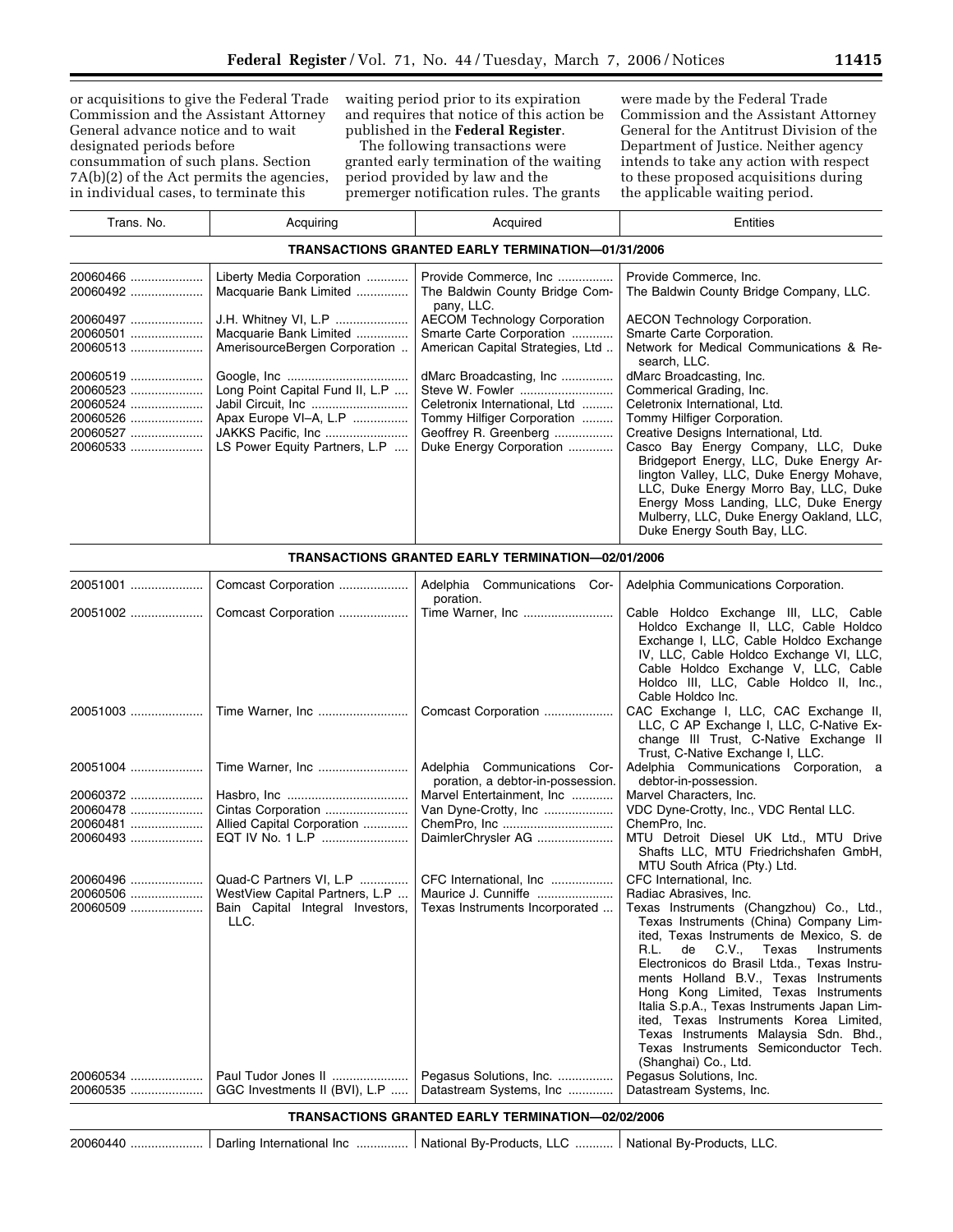or acquisitions to give the Federal Trade Commission and the Assistant Attorney General advance notice and to wait designated periods before

consummation of such plans. Section 7A(b)(2) of the Act permits the agencies, in individual cases, to terminate this

waiting period prior to its expiration and requires that notice of this action be published in the **Federal Register**.

The following transactions were granted early termination of the waiting period provided by law and the premerger notification rules. The grants

were made by the Federal Trade Commission and the Assistant Attorney General for the Antitrust Division of the Department of Justice. Neither agency intends to take any action with respect to these proposed acquisitions during the applicable waiting period.

| Trans. No.                                                           | Acquiring                                                                                                                              | Acquired                                                                                                                                                                     | Entities                                                                                                                                                                                                                                                                                                                                                                                                                                                                 |  |
|----------------------------------------------------------------------|----------------------------------------------------------------------------------------------------------------------------------------|------------------------------------------------------------------------------------------------------------------------------------------------------------------------------|--------------------------------------------------------------------------------------------------------------------------------------------------------------------------------------------------------------------------------------------------------------------------------------------------------------------------------------------------------------------------------------------------------------------------------------------------------------------------|--|
| TRANSACTIONS GRANTED EARLY TERMINATION—01/31/2006                    |                                                                                                                                        |                                                                                                                                                                              |                                                                                                                                                                                                                                                                                                                                                                                                                                                                          |  |
| 20060466<br>20060492<br>20060497<br>20060501<br>20060513             | Liberty Media Corporation<br>Macquarie Bank Limited<br>J.H. Whitney VI, L.P<br>Macquarie Bank Limited<br>AmerisourceBergen Corporation | Provide Commerce, Inc<br>The Baldwin County Bridge Com-<br>pany, LLC.<br><b>AECOM Technology Corporation</b><br>Smarte Carte Corporation<br>American Capital Strategies, Ltd | Provide Commerce, Inc.<br>The Baldwin County Bridge Company, LLC.<br><b>AECON Technology Corporation.</b><br>Smarte Carte Corporation.<br>Network for Medical Communications & Re-                                                                                                                                                                                                                                                                                       |  |
| 20060519<br>20060523<br>20060524<br>20060526<br>20060527<br>20060533 | Long Point Capital Fund II, L.P<br>Apax Europe VI-A, L.P<br>LS Power Equity Partners, L.P                                              | dMarc Broadcasting, Inc<br>Steve W. Fowler<br>Celetronix International, Ltd<br>Tommy Hilfiger Corporation<br>Geoffrey R. Greenberg<br>Duke Energy Corporation                | search, LLC.<br>dMarc Broadcasting, Inc.<br>Commerical Grading, Inc.<br>Celetronix International, Ltd.<br>Tommy Hilfiger Corporation.<br>Creative Designs International, Ltd.<br>Casco Bay Energy Company, LLC, Duke<br>Bridgeport Energy, LLC, Duke Energy Ar-<br>lington Valley, LLC, Duke Energy Mohave,<br>LLC, Duke Energy Morro Bay, LLC, Duke<br>Energy Moss Landing, LLC, Duke Energy<br>Mulberry, LLC, Duke Energy Oakland, LLC,<br>Duke Energy South Bay, LLC. |  |

| TRANSACTIONS GRANTED EARLY TERMINATION-02/01/2006                                                                                                            |                                          |                                                                   |                                                                                                                                                                                                                                                                                                                                                                                                                                                                                                            |
|--------------------------------------------------------------------------------------------------------------------------------------------------------------|------------------------------------------|-------------------------------------------------------------------|------------------------------------------------------------------------------------------------------------------------------------------------------------------------------------------------------------------------------------------------------------------------------------------------------------------------------------------------------------------------------------------------------------------------------------------------------------------------------------------------------------|
| 20051001                                                                                                                                                     | Comcast Corporation                      | Adelphia Communications Cor-<br>poration.                         | Adelphia Communications Corporation.                                                                                                                                                                                                                                                                                                                                                                                                                                                                       |
|                                                                                                                                                              | Comcast Corporation                      | Time Warner, Inc                                                  | Cable Holdco Exchange III, LLC, Cable<br>Holdco Exchange II, LLC, Cable Holdco<br>Exchange I, LLC, Cable Holdco Exchange<br>IV, LLC, Cable Holdco Exchange VI, LLC,<br>Cable Holdco Exchange V, LLC, Cable<br>Holdco III, LLC, Cable Holdco II, Inc.,<br>Cable Holdco Inc.                                                                                                                                                                                                                                 |
|                                                                                                                                                              | Time Warner, Inc                         | Comcast Corporation                                               | CAC Exchange I, LLC, CAC Exchange II,<br>LLC, C AP Exchange I, LLC, C-Native Ex-<br>change III Trust, C-Native Exchange II<br>Trust, C-Native Exchange I, LLC.                                                                                                                                                                                                                                                                                                                                             |
|                                                                                                                                                              | 20051004  Time Warner, Inc               | Adelphia Communications Cor-<br>poration, a debtor-in-possession. | Adelphia Communications Corporation, a<br>debtor-in-possession.                                                                                                                                                                                                                                                                                                                                                                                                                                            |
|                                                                                                                                                              |                                          | Marvel Entertainment, Inc                                         | Marvel Characters, Inc.                                                                                                                                                                                                                                                                                                                                                                                                                                                                                    |
| 20060478                                                                                                                                                     | Cintas Corporation                       | Van Dyne-Crotty, Inc                                              | VDC Dyne-Crotty, Inc., VDC Rental LLC.                                                                                                                                                                                                                                                                                                                                                                                                                                                                     |
| 20060481                                                                                                                                                     | Allied Capital Corporation               | ChemPro, Inc                                                      | ChemPro. Inc.                                                                                                                                                                                                                                                                                                                                                                                                                                                                                              |
| 20060493                                                                                                                                                     | EQT IV No. 1 L.P                         | DaimlerChrysler AG                                                | MTU Detroit Diesel UK Ltd., MTU Drive<br>Shafts LLC, MTU Friedrichshafen GmbH,<br>MTU South Africa (Pty.) Ltd.                                                                                                                                                                                                                                                                                                                                                                                             |
|                                                                                                                                                              | Quad-C Partners VI, L.P                  | CFC International, Inc                                            | CFC International, Inc.                                                                                                                                                                                                                                                                                                                                                                                                                                                                                    |
| 20060506                                                                                                                                                     | WestView Capital Partners, L.P           | Maurice J. Cunniffe                                               | Radiac Abrasives, Inc.                                                                                                                                                                                                                                                                                                                                                                                                                                                                                     |
| 20060509                                                                                                                                                     | Bain Capital Integral Investors,<br>LLC. | Texas Instruments Incorporated                                    | Texas Instruments (Changzhou) Co., Ltd.,<br>Texas Instruments (China) Company Lim-<br>ited, Texas Instruments de Mexico, S. de<br>R.L.<br>de C.V., Texas<br>Instruments<br>Electronicos do Brasil Ltda., Texas Instru-<br>ments Holland B.V., Texas Instruments<br>Hong Kong Limited, Texas Instruments<br>Italia S.p.A., Texas Instruments Japan Lim-<br>ited, Texas Instruments Korea Limited,<br>Texas Instruments Malaysia Sdn. Bhd.,<br>Texas Instruments Semiconductor Tech.<br>(Shanghai) Co., Ltd. |
| 20060534                                                                                                                                                     |                                          | Pegasus Solutions, Inc.                                           | Pegasus Solutions, Inc.                                                                                                                                                                                                                                                                                                                                                                                                                                                                                    |
| Datastream Systems, Inc<br>Datastream Systems, Inc.<br>20060535<br>GGC Investments II (BVI), L.P<br><b>TRANSACTIONS GRANTED EARLY TERMINATION-02/02/2006</b> |                                          |                                                                   |                                                                                                                                                                                                                                                                                                                                                                                                                                                                                                            |

20060440 ..................... Darling International Inc ............... National By-Products, LLC ........... National By-Products, LLC.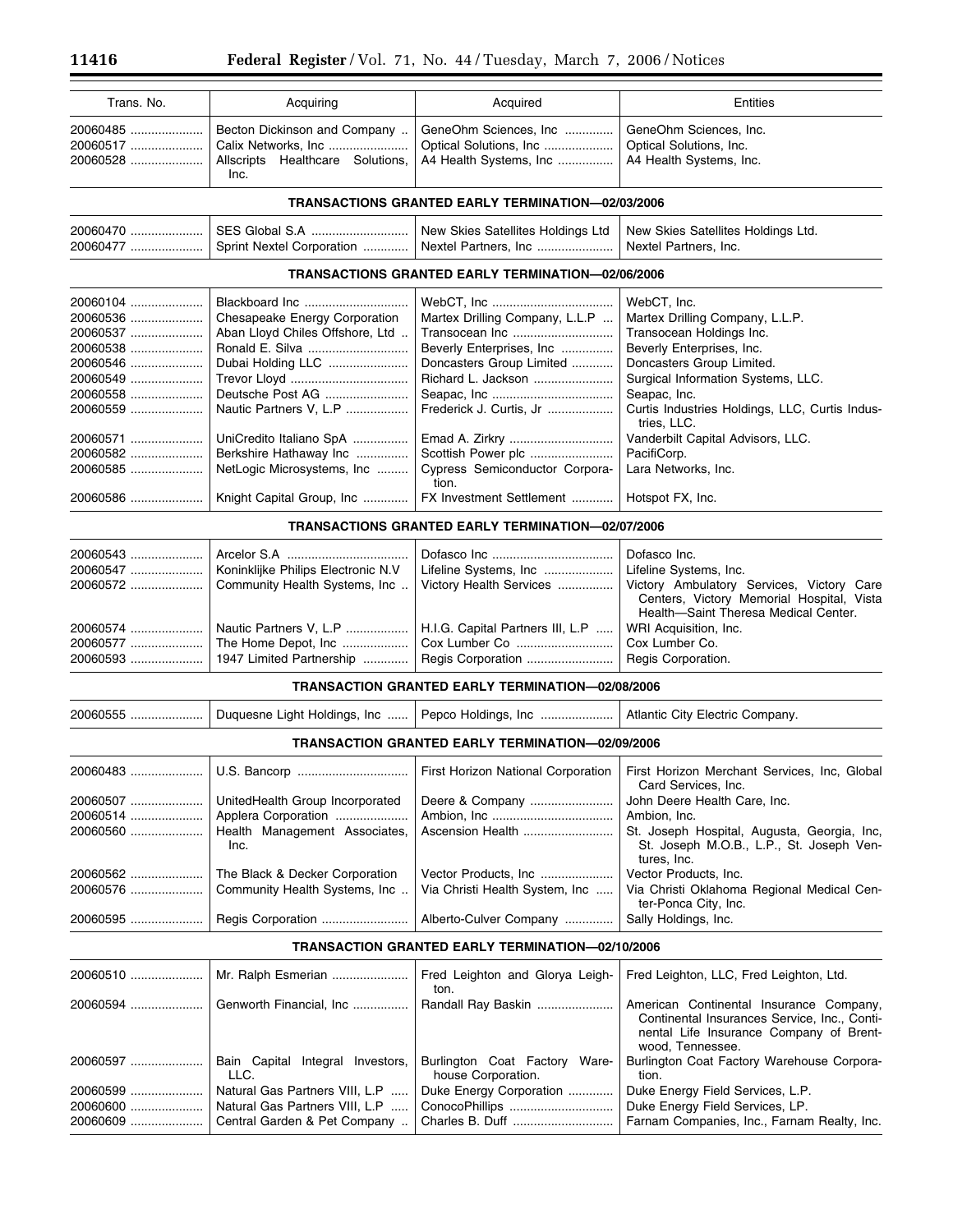| Trans. No.                       | Acquiring | Acquired                                                                                                                                                               | Entities |
|----------------------------------|-----------|------------------------------------------------------------------------------------------------------------------------------------------------------------------------|----------|
| 20060485<br>20060517<br>20060528 | Inc.      | Becton Dickinson and Company    GeneOhm Sciences, Inc    GeneOhm Sciences, Inc.<br>Allscripts Healthcare Solutions,   A4 Health Systems, Inc   A4 Health Systems, Inc. |          |

# **TRANSACTIONS GRANTED EARLY TERMINATION—02/03/2006**

| 20060470 | New Skies Satellites Holdings Ltd   New Skies Satellites Holdings Ltd. |  |
|----------|------------------------------------------------------------------------|--|
|          |                                                                        |  |

# **TRANSACTIONS GRANTED EARLY TERMINATION—02/06/2006**

| 20060104 |                                                 |                                                                     | WebCT, Inc.                                                   |
|----------|-------------------------------------------------|---------------------------------------------------------------------|---------------------------------------------------------------|
| 20060536 | Chesapeake Energy Corporation                   | Martex Drilling Company, L.L.P                                      | Martex Drilling Company, L.L.P.                               |
| 20060537 | Aban Lloyd Chiles Offshore, Ltd                 |                                                                     | Transocean Holdings Inc.                                      |
| 20060538 |                                                 | Beverly Enterprises, Inc                                            | Beverly Enterprises, Inc.                                     |
| 20060546 | Dubai Holding LLC                               | Doncasters Group Limited                                            | Doncasters Group Limited.                                     |
| 20060549 |                                                 | Richard L. Jackson                                                  | Surgical Information Systems, LLC.                            |
| 20060558 |                                                 |                                                                     | Seapac, Inc.                                                  |
| 20060559 | Nautic Partners V. L.P  Frederick J. Curtis. Jr |                                                                     | Curtis Industries Holdings, LLC, Curtis Indus-<br>tries. LLC. |
| 20060571 | UniCredito Italiano SpA                         |                                                                     | Vanderbilt Capital Advisors, LLC.                             |
| 20060582 | Berkshire Hathaway Inc                          | Scottish Power plc                                                  | PacifiCorp.                                                   |
| 20060585 |                                                 | NetLogic Microsystems, Inc  Cypress Semiconductor Corpora-<br>tion. | Lara Networks, Inc.                                           |
| 20060586 |                                                 | Knight Capital Group, Inc    FX Investment Settlement               | Hotspot FX, Inc.                                              |

# **TRANSACTIONS GRANTED EARLY TERMINATION—02/07/2006**

| 20060547    Koninklijke Philips Electronic N.V                                                                                                                      | Dofasco Inc.<br>Lifeline Systems, Inc.<br>20060572    Community Health Systems, Inc    Victory Health Services    Victory Ambulatory Services, Victory Care<br>Centers, Victory Memorial Hospital, Vista<br>Health-Saint Theresa Medical Center. |
|---------------------------------------------------------------------------------------------------------------------------------------------------------------------|--------------------------------------------------------------------------------------------------------------------------------------------------------------------------------------------------------------------------------------------------|
| 20060574   Nautic Partners V, L.P   H.I.G. Capital Partners III, L.P    WRI Acquisition, Inc.<br>20060577    The Home Depot, Inc    Cox Lumber Co    Cox Lumber Co. |                                                                                                                                                                                                                                                  |

# **TRANSACTION GRANTED EARLY TERMINATION—02/08/2006**

|          | Duquesne Light Holdings, Inc          | Pepco Holdings, Inc                                     | Atlantic City Electric Company.                                                                        |
|----------|---------------------------------------|---------------------------------------------------------|--------------------------------------------------------------------------------------------------------|
|          |                                       | <b>TRANSACTION GRANTED EARLY TERMINATION-02/09/2006</b> |                                                                                                        |
|          |                                       | First Horizon National Corporation                      | First Horizon Merchant Services, Inc. Global<br>Card Services, Inc.                                    |
| 20060507 | UnitedHealth Group Incorporated       | Deere & Company                                         | John Deere Health Care, Inc.                                                                           |
|          | Applera Corporation                   |                                                         | Ambion, Inc.                                                                                           |
|          | Health Management Associates,<br>Inc. | Ascension Health                                        | St. Joseph Hospital, Augusta, Georgia, Inc.<br>St. Joseph M.O.B., L.P., St. Joseph Ven-<br>tures. Inc. |
| 20060562 | The Black & Decker Corporation        | Vector Products, Inc                                    | Vector Products, Inc.                                                                                  |
|          | Community Health Systems, Inc         | Via Christi Health System, Inc                          | Via Christi Oklahoma Regional Medical Cen-<br>ter-Ponca City, Inc.                                     |
|          | Regis Corporation                     | Alberto-Culver Company                                  | Sally Holdings, Inc.                                                                                   |

# **TRANSACTION GRANTED EARLY TERMINATION—02/10/2006**

| 20060510   | Mr. Ralph Esmerian                          | Fred Leighton and Glorya Leigh-<br>ton.                | Fred Leighton, LLC, Fred Leighton, Ltd.                                                                                                                |
|------------|---------------------------------------------|--------------------------------------------------------|--------------------------------------------------------------------------------------------------------------------------------------------------------|
| 20060594   | Genworth Financial, Inc                     | Randall Ray Baskin                                     | American Continental Insurance Company,<br>Continental Insurances Service, Inc., Conti-<br>nental Life Insurance Company of Brent-<br>wood, Tennessee. |
| 20060597   | Integral Investors,<br>Bain Capital<br>LLC. | Burlington Coat Factory<br>Ware-<br>house Corporation. | Burlington Coat Factory Warehouse Corpora-<br>tion.                                                                                                    |
| 20060599   | Natural Gas Partners VIII, L.P              | Duke Energy Corporation                                | Duke Energy Field Services, L.P.                                                                                                                       |
| 20060600   | Natural Gas Partners VIII, L.P              | ConocoPhillips                                         | Duke Energy Field Services, LP.                                                                                                                        |
| $20060609$ | Central Garden & Pet Company                |                                                        | Farnam Companies, Inc., Farnam Realty, Inc.                                                                                                            |